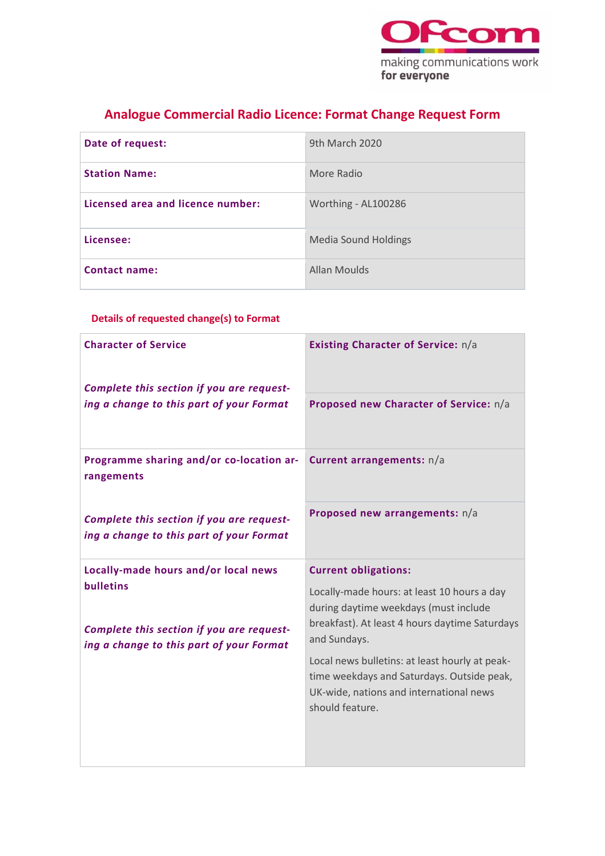

## **Analogue Commercial Radio Licence: Format Change Request Form**

| Date of request:                  | 9th March 2020              |
|-----------------------------------|-----------------------------|
| <b>Station Name:</b>              | More Radio                  |
| Licensed area and licence number: | Worthing - AL100286         |
| Licensee:                         | <b>Media Sound Holdings</b> |
| <b>Contact name:</b>              | Allan Moulds                |

### **Details of requested change(s) to Format**

| <b>Character of Service</b><br>Complete this section if you are request-<br>ing a change to this part of your Format | Existing Character of Service: n/a                                                                                                                         |
|----------------------------------------------------------------------------------------------------------------------|------------------------------------------------------------------------------------------------------------------------------------------------------------|
|                                                                                                                      | Proposed new Character of Service: n/a                                                                                                                     |
| Programme sharing and/or co-location ar-<br>rangements                                                               | Current arrangements: n/a                                                                                                                                  |
| Complete this section if you are request-<br>ing a change to this part of your Format                                | Proposed new arrangements: n/a                                                                                                                             |
| Locally-made hours and/or local news                                                                                 | <b>Current obligations:</b>                                                                                                                                |
| <b>bulletins</b><br>Complete this section if you are request-<br>ing a change to this part of your Format            | Locally-made hours: at least 10 hours a day<br>during daytime weekdays (must include<br>breakfast). At least 4 hours daytime Saturdays<br>and Sundays.     |
|                                                                                                                      | Local news bulletins: at least hourly at peak-<br>time weekdays and Saturdays. Outside peak,<br>UK-wide, nations and international news<br>should feature. |
|                                                                                                                      |                                                                                                                                                            |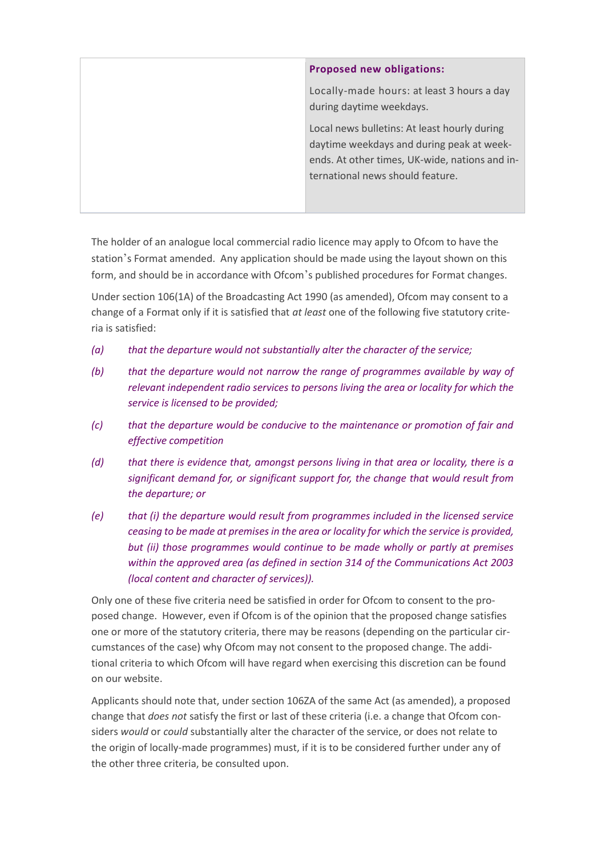| <b>Proposed new obligations:</b>                                                                                                                                                |
|---------------------------------------------------------------------------------------------------------------------------------------------------------------------------------|
| Locally-made hours: at least 3 hours a day<br>during daytime weekdays.                                                                                                          |
| Local news bulletins: At least hourly during<br>daytime weekdays and during peak at week-<br>ends. At other times, UK-wide, nations and in-<br>ternational news should feature. |

The holder of an analogue local commercial radio licence may apply to Ofcom to have the station's Format amended. Any application should be made using the layout shown on this form, and should be in accordance with Ofcom's published procedures for Format changes.

Under section 106(1A) of the Broadcasting Act 1990 (as amended), Ofcom may consent to a change of a Format only if it is satisfied that *at least* one of the following five statutory criteria is satisfied:

- *(a) that the departure would not substantially alter the character of the service;*
- *(b) that the departure would not narrow the range of programmes available by way of relevant independent radio services to persons living the area or locality for which the service is licensed to be provided;*
- *(c) that the departure would be conducive to the maintenance or promotion of fair and effective competition*
- *(d) that there is evidence that, amongst persons living in that area or locality, there is a significant demand for, or significant support for, the change that would result from the departure; or*
- *(e) that (i) the departure would result from programmes included in the licensed service ceasing to be made at premises in the area or locality for which the service is provided, but (ii) those programmes would continue to be made wholly or partly at premises within the approved area (as defined in section 314 of the Communications Act 2003 (local content and character of services)).*

Only one of these five criteria need be satisfied in order for Ofcom to consent to the proposed change. However, even if Ofcom is of the opinion that the proposed change satisfies one or more of the statutory criteria, there may be reasons (depending on the particular circumstances of the case) why Ofcom may not consent to the proposed change. The additional criteria to which Ofcom will have regard when exercising this discretion can be found on our website.

Applicants should note that, under section 106ZA of the same Act (as amended), a proposed change that *does not* satisfy the first or last of these criteria (i.e. a change that Ofcom considers *would* or *could* substantially alter the character of the service, or does not relate to the origin of locally-made programmes) must, if it is to be considered further under any of the other three criteria, be consulted upon.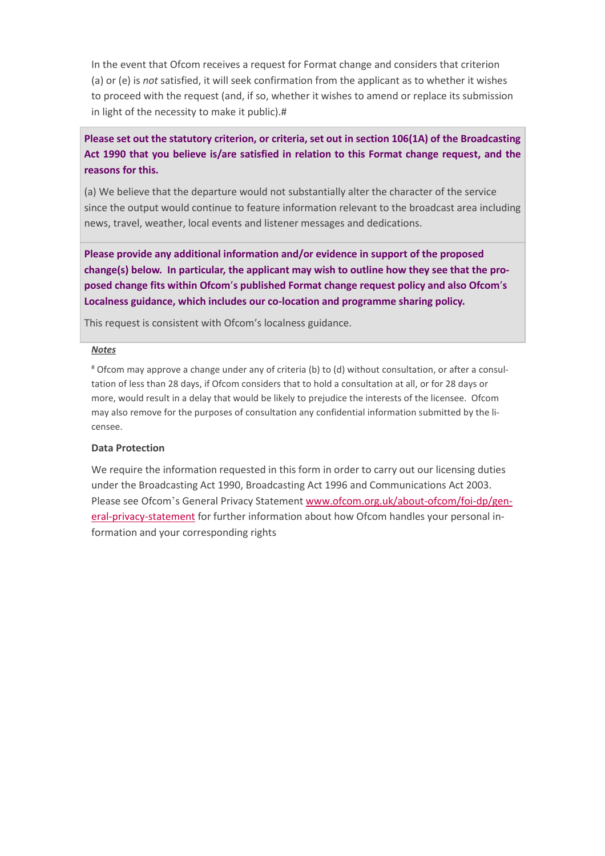In the event that Ofcom receives a request for Format change and considers that criterion (a) or (e) is *not* satisfied, it will seek confirmation from the applicant as to whether it wishes to proceed with the request (and, if so, whether it wishes to amend or replace its submission in light of the necessity to make it public).#

**Please set out the statutory criterion, or criteria, set out in section 106(1A) of the Broadcasting Act 1990 that you believe is/are satisfied in relation to this Format change request, and the reasons for this.**

(a) We believe that the departure would not substantially alter the character of the service since the output would continue to feature information relevant to the broadcast area including news, travel, weather, local events and listener messages and dedications.

**Please provide any additional information and/or evidence in support of the proposed change(s) below. In particular, the applicant may wish to outline how they see that the proposed change fits within Ofcom**'**s published Format change request policy and also Ofcom**'**s Localness guidance, which includes our co-location and programme sharing policy.** 

This request is consistent with Ofcom's localness guidance.

#### *Notes*

# Ofcom may approve a change under any of criteria (b) to (d) without consultation, or after a consultation of less than 28 days, if Ofcom considers that to hold a consultation at all, or for 28 days or more, would result in a delay that would be likely to prejudice the interests of the licensee. Ofcom may also remove for the purposes of consultation any confidential information submitted by the licensee.

### **Data Protection**

We require the information requested in this form in order to carry out our licensing duties under the Broadcasting Act 1990, Broadcasting Act 1996 and Communications Act 2003. Please see Ofcom's General Privacy Statemen[t www.ofcom.org.uk/about-ofcom/foi-dp/gen](https://ofcomuk.sharepoint.com/teams/rcbl_rl/ana/Licences/AL100286%20(formerly%20AL278)%20Worthing%20FM/Format%20change%202020/www.ofcom.org.uk/about-ofcom/foi-dp/general-privacy-statement)[eral-privacy-statement](https://ofcomuk.sharepoint.com/teams/rcbl_rl/ana/Licences/AL100286%20(formerly%20AL278)%20Worthing%20FM/Format%20change%202020/www.ofcom.org.uk/about-ofcom/foi-dp/general-privacy-statement) for further information about how Ofcom handles your personal information and your corresponding rights